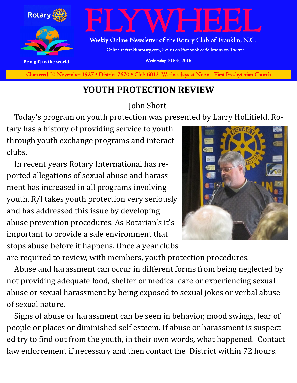

**Charted November 29, 1927 • District 7670 • Club 6013 Wednesdays at Noon - First Presbyterian Church** Chartered 10 November 1927 • District 7670 • Club 6013. Wednesdays at Noon - First Presbyterian Church

## **YOUTH PROTECTION REVIEW**

John Short

Today's program on youth protection was presented by Larry Hollifield. Ro-

tary has a history of providing service to youth through youth exchange programs and interact clubs.

 In recent years Rotary International has reported allegations of sexual abuse and harassment has increased in all programs involving youth. R/I takes youth protection very seriously and has addressed this issue by developing abuse prevention procedures. As Rotarian's it's important to provide a safe environment that stops abuse before it happens. Once a year clubs



are required to review, with members, youth protection procedures.

 Abuse and harassment can occur in different forms from being neglected by not providing adequate food, shelter or medical care or experiencing sexual abuse or sexual harassment by being exposed to sexual jokes or verbal abuse of sexual nature.

 Signs of abuse or harassment can be seen in behavior, mood swings, fear of people or places or diminished self esteem. If abuse or harassment is suspected try to find out from the youth, in their own words, what happened. Contact law enforcement if necessary and then contact the District within 72 hours.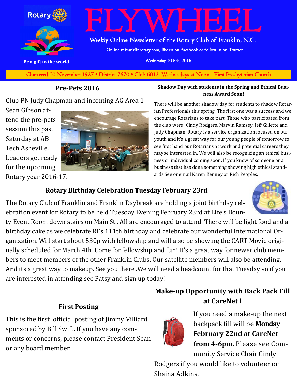

**Charted November 29, 1927 • District 7670 • Club 6013 Wednesdays at Noon - First Presbyterian Church** Chartered 10 November 1927 • District 7670 • Club 6013. Wednesdays at Noon - First Presbyterian Church

## **Pre-Pets 2016**

Club PN Judy Chapman and incoming AG Area 1

Sean Gibson attend the pre-pets session this past Saturday at AB Tech Asheville. Leaders get ready for the upcoming Rotary year 2016-17.



#### **Shadow Day with students in the Spring and Ethical Business Award Soon!**

There will be another shadow day for students to shadow Rotarian Professionals this spring. The first one was a success and we encourage Rotarians to take part. Those who participated from the club were: Cindy Rodgers, Marvin Ramsey, Jeff Gillette and Judy Chapman. Rotary is a service organization focused on our youth and it's a great way for our young people of tomorrow to see first hand our Rotarians at work and potential careers they maybe interested in. We will also be recognizing an ethical business or individual coming soon. If you know of someone or a business that has done something showing high ethical standards See or email Karen Kenney or Rich Peoples.

## **Rotary Birthday Celebration Tuesday February 23rd**

The Rotary Club of Franklin and Franklin Daybreak are holding a joint birthday celebration event for Rotary to be held Tuesday Evening February 23rd at Life's Boun-

ty Event Room down stairs on Main St . All are encouraged to attend. There will be light food and a birthday cake as we celebrate RI's 111th birthday and celebrate our wonderful International Organization. Will start about 530p with fellowship and will also be showing the CART Movie originally scheduled for March 4th. Come for fellowship and fun! It's a great way for newer club members to meet members of the other Franklin Clubs. Our satellite members will also be attending. And its a great way to makeup. See you there..We will need a headcount for that Tuesday so if you are interested in attending see Patsy and sign up today!

## **First Posting**

This is the first official posting of Jimmy Villiard sponsored by Bill Swift. If you have any comments or concerns, please contact President Sean or any board member.





If you need a make-up the next backpack fill will be **Monday February 22nd at CareNet from 4-6pm.** Please see Community Service Chair Cindy

Rodgers if you would like to volunteer or Shaina Adkins.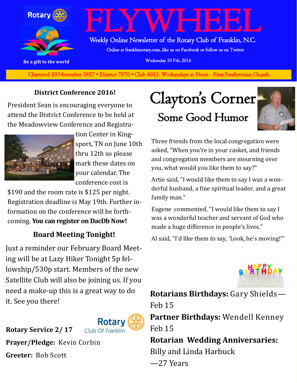

**Charted November 29, 1927 • District 7670 • Club 6013 Wednesdays at Noon - First Presbyterian Church** Chartered 10 November 1927 • District 7670 • Club 6013. Wednesdays at Noon - First Presbyterian Church

## **District Conference 2016!**

President Sean is encouraging everyone to attend the District Conference to be held at the Meadowview Conference and Registra-



tion Center in Kingsport, TN on June 10th thru 12th so please mark these dates on your calendar. The conference cost is

\$190 and the room rate is \$125 per night. Registration deadline is May 19th. Further information on the conference will be forthcoming. **You can register on DacDb Now!**

## **Board Meeting Tonight!**

Just a reminder our February Board Meeting will be at Lazy Hiker Tonight 5p fellowship/530p start. Members of the new Satellite Club will also be joining us. If you need a make-up this is a great way to do it. See you there!



**Prayer/Pledge:** Kevin Corbin **Greeter:** Bob Scott

**Rotary Service 2/ 17**

## Clayton's Corner Some Good Humor



Three friends from the local congregation were asked, "When you're in your casket, and friends and congregation members are mourning over you, what would you like them to say?"

Artie said, "I would like them to say I was a wonderful husband, a fine spiritual leader, and a great family man."

Eugene commented, "I would like them to say I was a wonderful teacher and servant of God who made a huge difference in people's lives."

Al said, "I'd like them to say, 'Look, he's moving!'"



**Rotarians Birthdays:** Gary Shields— Feb 15 **Partner Birthdays:** Wendell Kenney Feb 15 **Rotarian Wedding Anniversaries:**  Billy and Linda Harbuck —27 Years